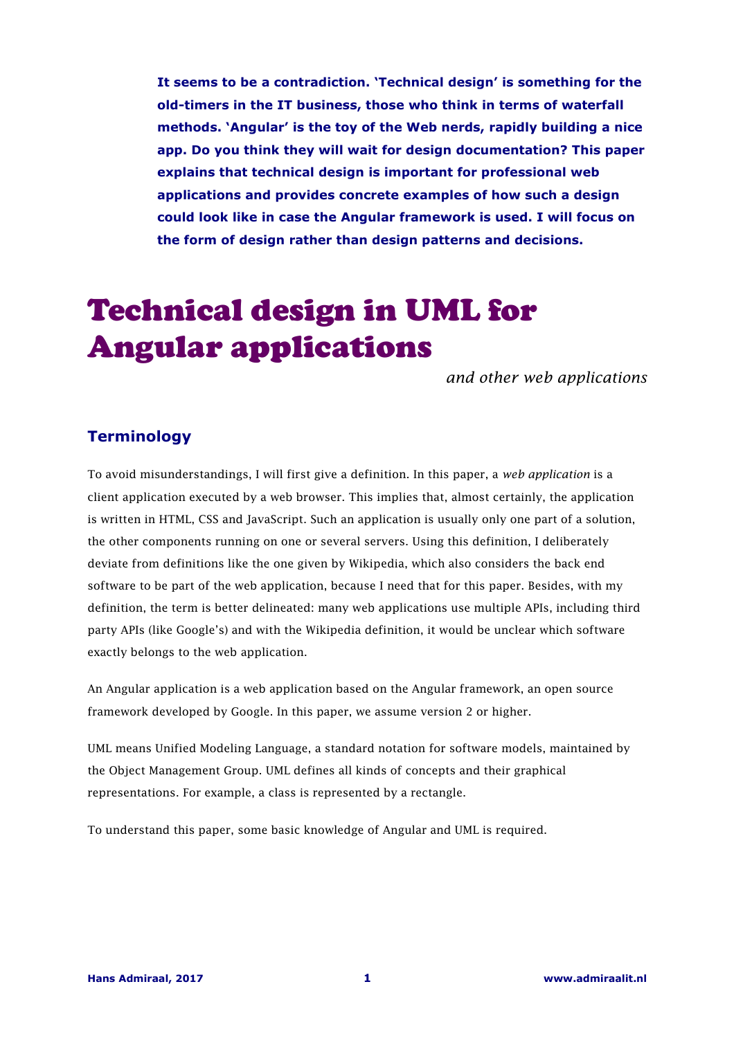**It seems to be a contradiction. 'Technical design' is something for the old-timers in the IT business, those who think in terms of waterfall methods. 'Angular' is the toy of the Web nerds, rapidly building a nice app. Do you think they will wait for design documentation? This paper explains that technical design is important for professional web applications and provides concrete examples of how such a design could look like in case the Angular framework is used. I will focus on the form of design rather than design patterns and decisions.** 

# Technical design in UML for Angular applications

*and other web applications* 

## **Terminology**

To avoid misunderstandings, I will first give a definition. In this paper, a *web application* is a client application executed by a web browser. This implies that, almost certainly, the application is written in HTML, CSS and JavaScript. Such an application is usually only one part of a solution, the other components running on one or several servers. Using this definition, I deliberately deviate from definitions like the one given by Wikipedia, which also considers the back end software to be part of the web application, because I need that for this paper. Besides, with my definition, the term is better delineated: many web applications use multiple APIs, including third party APIs (like Google's) and with the Wikipedia definition, it would be unclear which software exactly belongs to the web application.

An Angular application is a web application based on the Angular framework, an open source framework developed by Google. In this paper, we assume version 2 or higher.

UML means Unified Modeling Language, a standard notation for software models, maintained by the Object Management Group. UML defines all kinds of concepts and their graphical representations. For example, a class is represented by a rectangle.

To understand this paper, some basic knowledge of Angular and UML is required.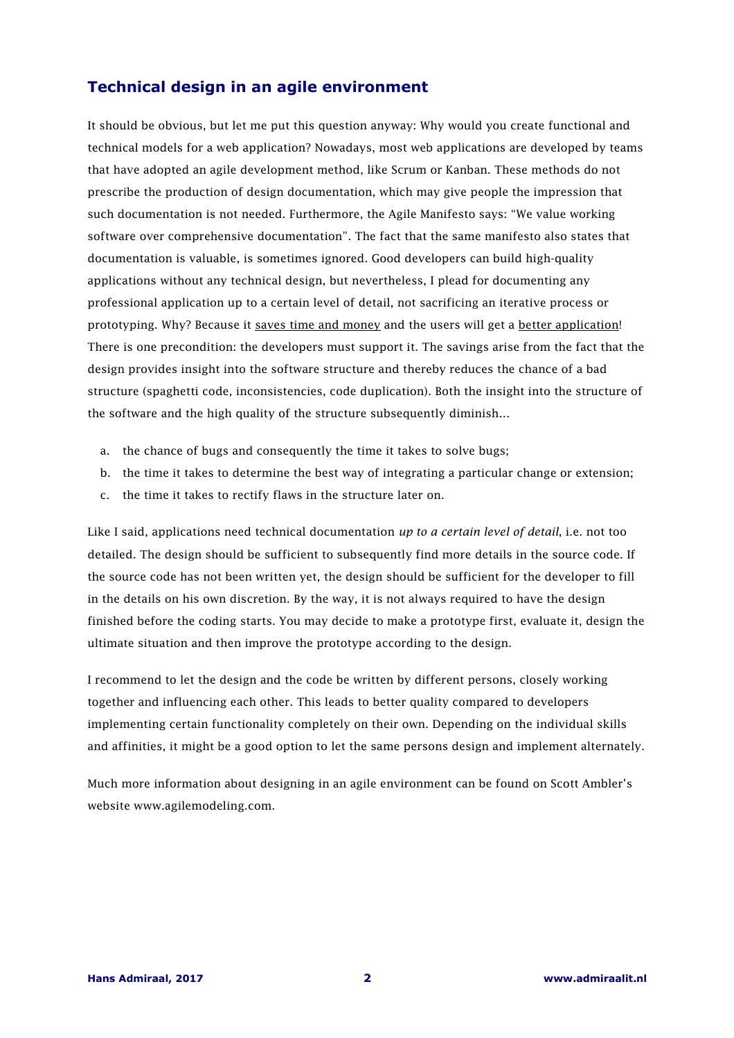# **Technical design in an agile environment**

It should be obvious, but let me put this question anyway: Why would you create functional and technical models for a web application? Nowadays, most web applications are developed by teams that have adopted an agile development method, like Scrum or Kanban. These methods do not prescribe the production of design documentation, which may give people the impression that such documentation is not needed. Furthermore, the Agile Manifesto says: "We value working software over comprehensive documentation". The fact that the same manifesto also states that documentation is valuable, is sometimes ignored. Good developers can build high-quality applications without any technical design, but nevertheless, I plead for documenting any professional application up to a certain level of detail, not sacrificing an iterative process or prototyping. Why? Because it saves time and money and the users will get a better application! There is one precondition: the developers must support it. The savings arise from the fact that the design provides insight into the software structure and thereby reduces the chance of a bad structure (spaghetti code, inconsistencies, code duplication). Both the insight into the structure of the software and the high quality of the structure subsequently diminish…

- a. the chance of bugs and consequently the time it takes to solve bugs;
- b. the time it takes to determine the best way of integrating a particular change or extension;
- c. the time it takes to rectify flaws in the structure later on.

Like I said, applications need technical documentation *up to a certain level of detail*, i.e. not too detailed. The design should be sufficient to subsequently find more details in the source code. If the source code has not been written yet, the design should be sufficient for the developer to fill in the details on his own discretion. By the way, it is not always required to have the design finished before the coding starts. You may decide to make a prototype first, evaluate it, design the ultimate situation and then improve the prototype according to the design.

I recommend to let the design and the code be written by different persons, closely working together and influencing each other. This leads to better quality compared to developers implementing certain functionality completely on their own. Depending on the individual skills and affinities, it might be a good option to let the same persons design and implement alternately.

Much more information about designing in an agile environment can be found on Scott Ambler's website www.agilemodeling.com.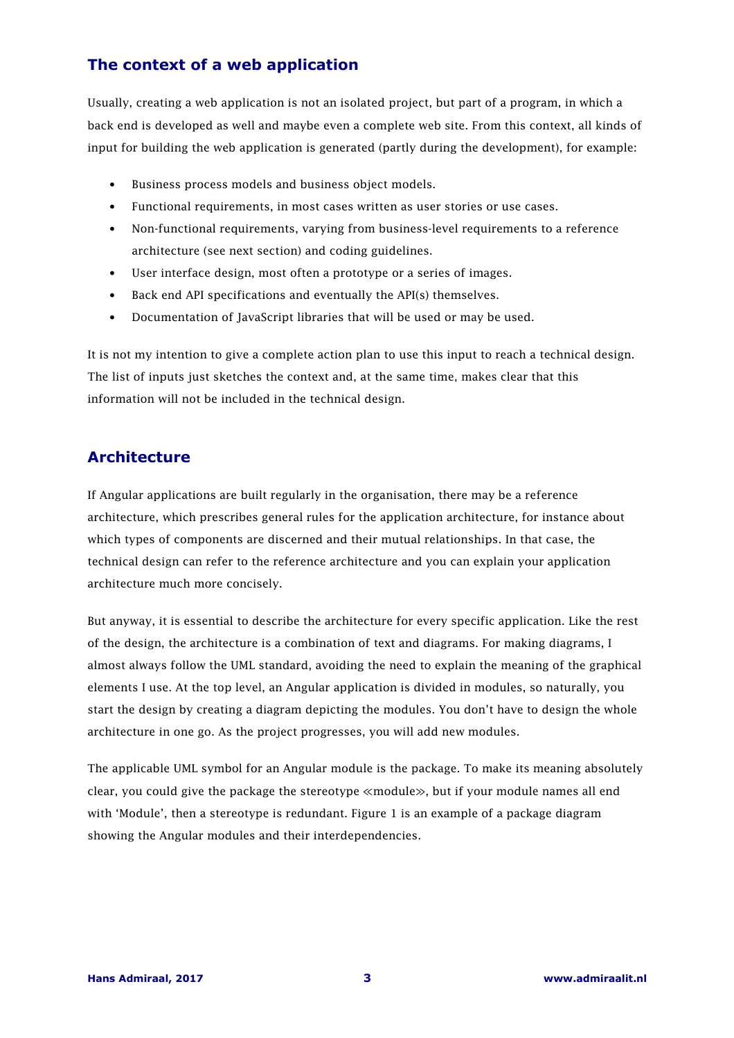# **The context of a web application**

Usually, creating a web application is not an isolated project, but part of a program, in which a back end is developed as well and maybe even a complete web site. From this context, all kinds of input for building the web application is generated (partly during the development), for example:

- Business process models and business object models.
- Functional requirements, in most cases written as user stories or use cases.
- Non-functional requirements, varying from business-level requirements to a reference architecture (see next section) and coding guidelines.
- User interface design, most often a prototype or a series of images.
- Back end API specifications and eventually the API(s) themselves.
- Documentation of JavaScript libraries that will be used or may be used.

It is not my intention to give a complete action plan to use this input to reach a technical design. The list of inputs just sketches the context and, at the same time, makes clear that this information will not be included in the technical design.

## **Architecture**

If Angular applications are built regularly in the organisation, there may be a reference architecture, which prescribes general rules for the application architecture, for instance about which types of components are discerned and their mutual relationships. In that case, the technical design can refer to the reference architecture and you can explain your application architecture much more concisely.

But anyway, it is essential to describe the architecture for every specific application. Like the rest of the design, the architecture is a combination of text and diagrams. For making diagrams, I almost always follow the UML standard, avoiding the need to explain the meaning of the graphical elements I use. At the top level, an Angular application is divided in modules, so naturally, you start the design by creating a diagram depicting the modules. You don't have to design the whole architecture in one go. As the project progresses, you will add new modules.

The applicable UML symbol for an Angular module is the package. To make its meaning absolutely clear, you could give the package the stereotype ≪module≫, but if your module names all end with 'Module', then a stereotype is redundant. Figure 1 is an example of a package diagram showing the Angular modules and their interdependencies.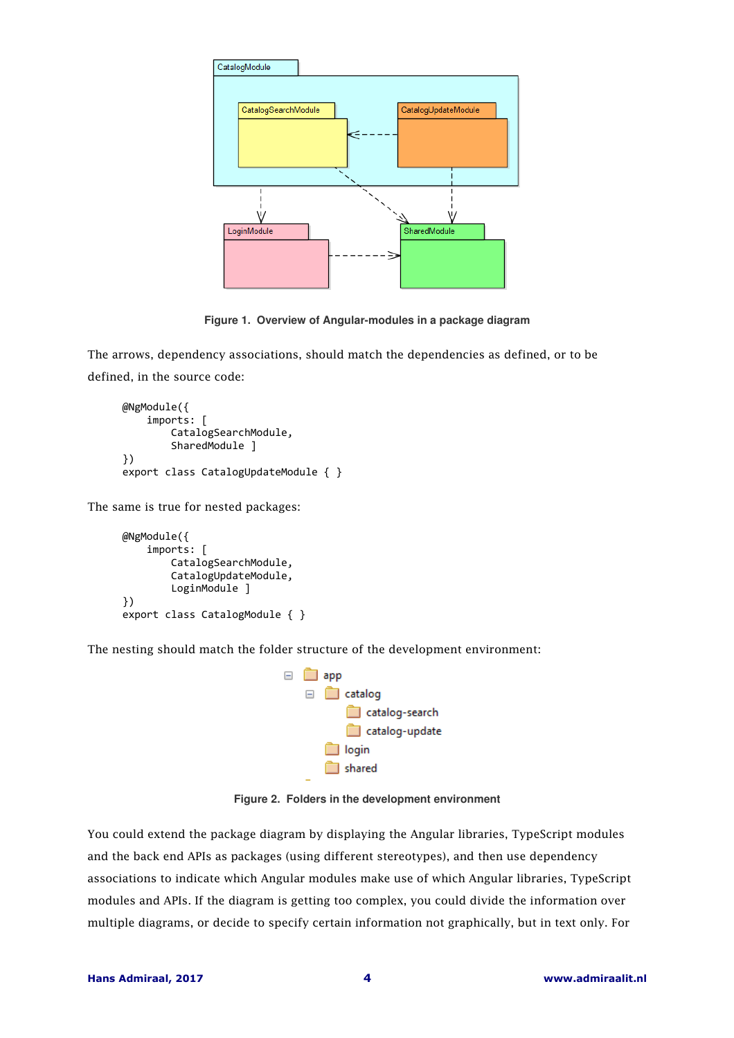

**Figure 1. Overview of Angular-modules in a package diagram** 

The arrows, dependency associations, should match the dependencies as defined, or to be defined, in the source code:

```
@NgModule({ 
     imports: [ 
         CatalogSearchModule, 
         SharedModule ] 
}) 
export class CatalogUpdateModule { }
```
The same is true for nested packages:

```
@NgModule({ 
     imports: [ 
         CatalogSearchModule, 
         CatalogUpdateModule, 
         LoginModule ] 
}) 
export class CatalogModule { }
```
The nesting should match the folder structure of the development environment:



**Figure 2. Folders in the development environment** 

You could extend the package diagram by displaying the Angular libraries, TypeScript modules and the back end APIs as packages (using different stereotypes), and then use dependency associations to indicate which Angular modules make use of which Angular libraries, TypeScript modules and APIs. If the diagram is getting too complex, you could divide the information over multiple diagrams, or decide to specify certain information not graphically, but in text only. For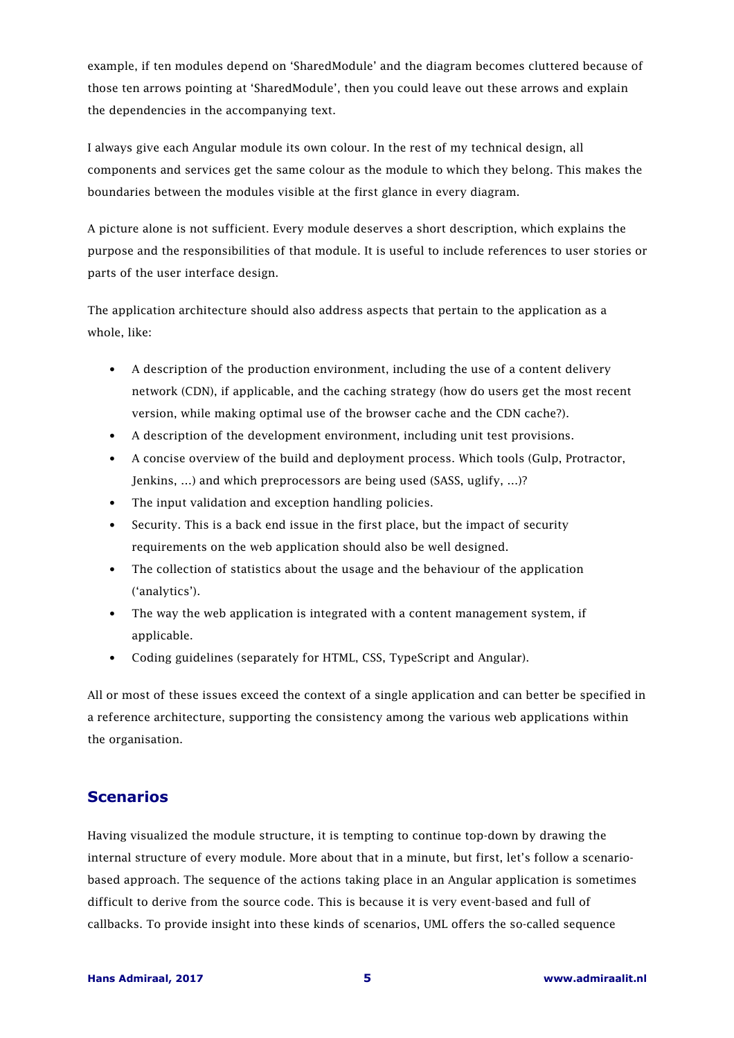example, if ten modules depend on 'SharedModule' and the diagram becomes cluttered because of those ten arrows pointing at 'SharedModule', then you could leave out these arrows and explain the dependencies in the accompanying text.

I always give each Angular module its own colour. In the rest of my technical design, all components and services get the same colour as the module to which they belong. This makes the boundaries between the modules visible at the first glance in every diagram.

A picture alone is not sufficient. Every module deserves a short description, which explains the purpose and the responsibilities of that module. It is useful to include references to user stories or parts of the user interface design.

The application architecture should also address aspects that pertain to the application as a whole, like:

- A description of the production environment, including the use of a content delivery network (CDN), if applicable, and the caching strategy (how do users get the most recent version, while making optimal use of the browser cache and the CDN cache?).
- A description of the development environment, including unit test provisions.
- A concise overview of the build and deployment process. Which tools (Gulp, Protractor, Jenkins, …) and which preprocessors are being used (SASS, uglify, …)?
- The input validation and exception handling policies.
- Security. This is a back end issue in the first place, but the impact of security requirements on the web application should also be well designed.
- The collection of statistics about the usage and the behaviour of the application ('analytics').
- The way the web application is integrated with a content management system, if applicable.
- Coding guidelines (separately for HTML, CSS, TypeScript and Angular).

All or most of these issues exceed the context of a single application and can better be specified in a reference architecture, supporting the consistency among the various web applications within the organisation.

## **Scenarios**

Having visualized the module structure, it is tempting to continue top-down by drawing the internal structure of every module. More about that in a minute, but first, let's follow a scenariobased approach. The sequence of the actions taking place in an Angular application is sometimes difficult to derive from the source code. This is because it is very event-based and full of callbacks. To provide insight into these kinds of scenarios, UML offers the so-called sequence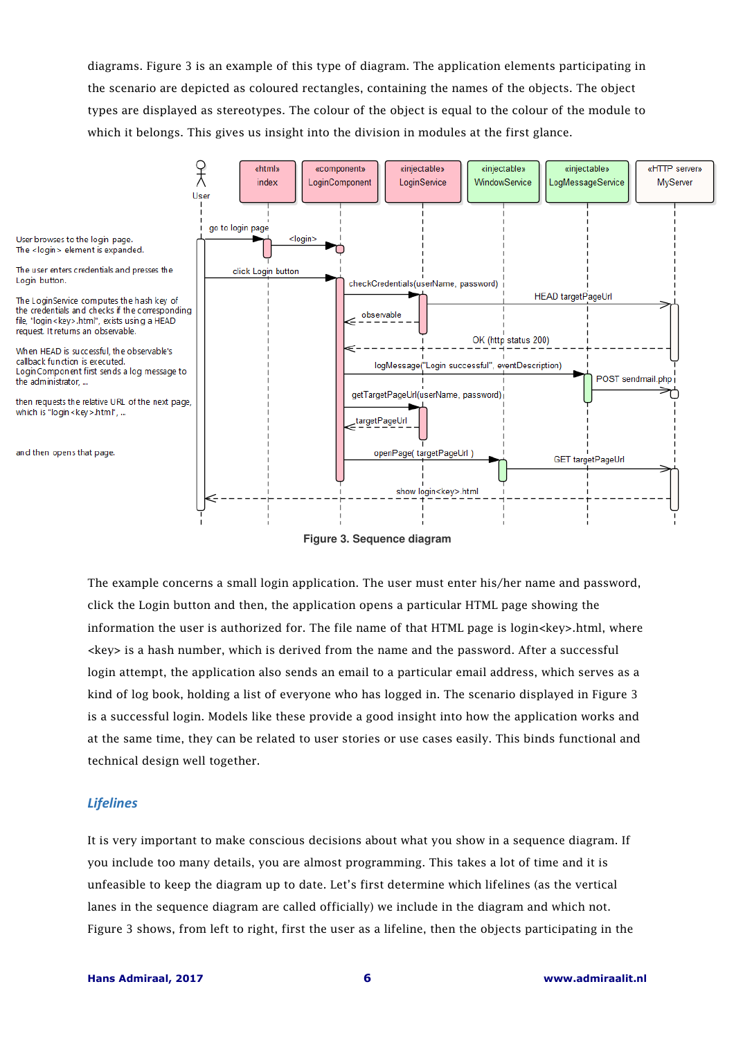diagrams. Figure 3 is an example of this type of diagram. The application elements participating in the scenario are depicted as coloured rectangles, containing the names of the objects. The object types are displayed as stereotypes. The colour of the object is equal to the colour of the module to which it belongs. This gives us insight into the division in modules at the first glance.



 **Figure 3. Sequence diagram**

The example concerns a small login application. The user must enter his/her name and password, click the Login button and then, the application opens a particular HTML page showing the information the user is authorized for. The file name of that HTML page is login $\langle key \rangle$ .html, where <key> is a hash number, which is derived from the name and the password. After a successful login attempt, the application also sends an email to a particular email address, which serves as a kind of log book, holding a list of everyone who has logged in. The scenario displayed in Figure 3 is a successful login. Models like these provide a good insight into how the application works and at the same time, they can be related to user stories or use cases easily. This binds functional and technical design well together.

#### *Lifelines*

It is very important to make conscious decisions about what you show in a sequence diagram. If you include too many details, you are almost programming. This takes a lot of time and it is unfeasible to keep the diagram up to date. Let's first determine which lifelines (as the vertical lanes in the sequence diagram are called officially) we include in the diagram and which not. Figure 3 shows, from left to right, first the user as a lifeline, then the objects participating in the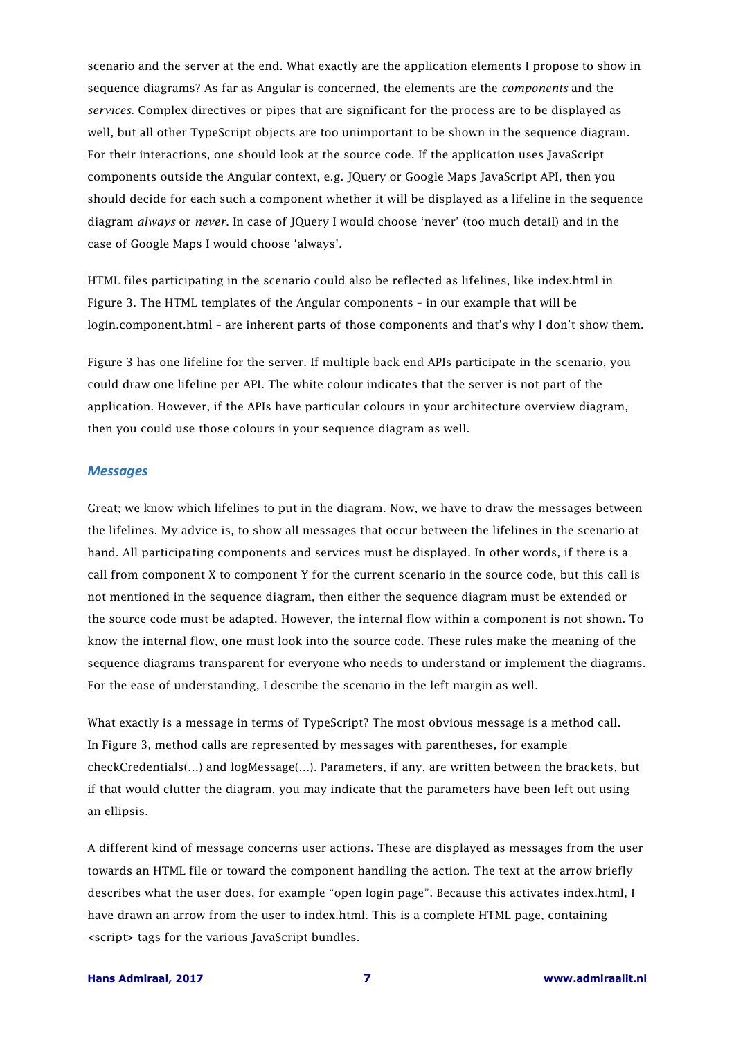scenario and the server at the end. What exactly are the application elements I propose to show in sequence diagrams? As far as Angular is concerned, the elements are the *components* and the *services*. Complex directives or pipes that are significant for the process are to be displayed as well, but all other TypeScript objects are too unimportant to be shown in the sequence diagram. For their interactions, one should look at the source code. If the application uses JavaScript components outside the Angular context, e.g. JQuery or Google Maps JavaScript API, then you should decide for each such a component whether it will be displayed as a lifeline in the sequence diagram *always* or *never*. In case of JQuery I would choose 'never' (too much detail) and in the case of Google Maps I would choose 'always'.

HTML files participating in the scenario could also be reflected as lifelines, like index.html in Figure 3. The HTML templates of the Angular components – in our example that will be login.component.html – are inherent parts of those components and that's why I don't show them.

Figure 3 has one lifeline for the server. If multiple back end APIs participate in the scenario, you could draw one lifeline per API. The white colour indicates that the server is not part of the application. However, if the APIs have particular colours in your architecture overview diagram, then you could use those colours in your sequence diagram as well.

#### *Messages*

Great; we know which lifelines to put in the diagram. Now, we have to draw the messages between the lifelines. My advice is, to show all messages that occur between the lifelines in the scenario at hand. All participating components and services must be displayed. In other words, if there is a call from component X to component Y for the current scenario in the source code, but this call is not mentioned in the sequence diagram, then either the sequence diagram must be extended or the source code must be adapted. However, the internal flow within a component is not shown. To know the internal flow, one must look into the source code. These rules make the meaning of the sequence diagrams transparent for everyone who needs to understand or implement the diagrams. For the ease of understanding, I describe the scenario in the left margin as well.

What exactly is a message in terms of TypeScript? The most obvious message is a method call. In Figure 3, method calls are represented by messages with parentheses, for example checkCredentials(…) and logMessage(…). Parameters, if any, are written between the brackets, but if that would clutter the diagram, you may indicate that the parameters have been left out using an ellipsis.

A different kind of message concerns user actions. These are displayed as messages from the user towards an HTML file or toward the component handling the action. The text at the arrow briefly describes what the user does, for example "open login page". Because this activates index.html, I have drawn an arrow from the user to index.html. This is a complete HTML page, containing <script> tags for the various JavaScript bundles.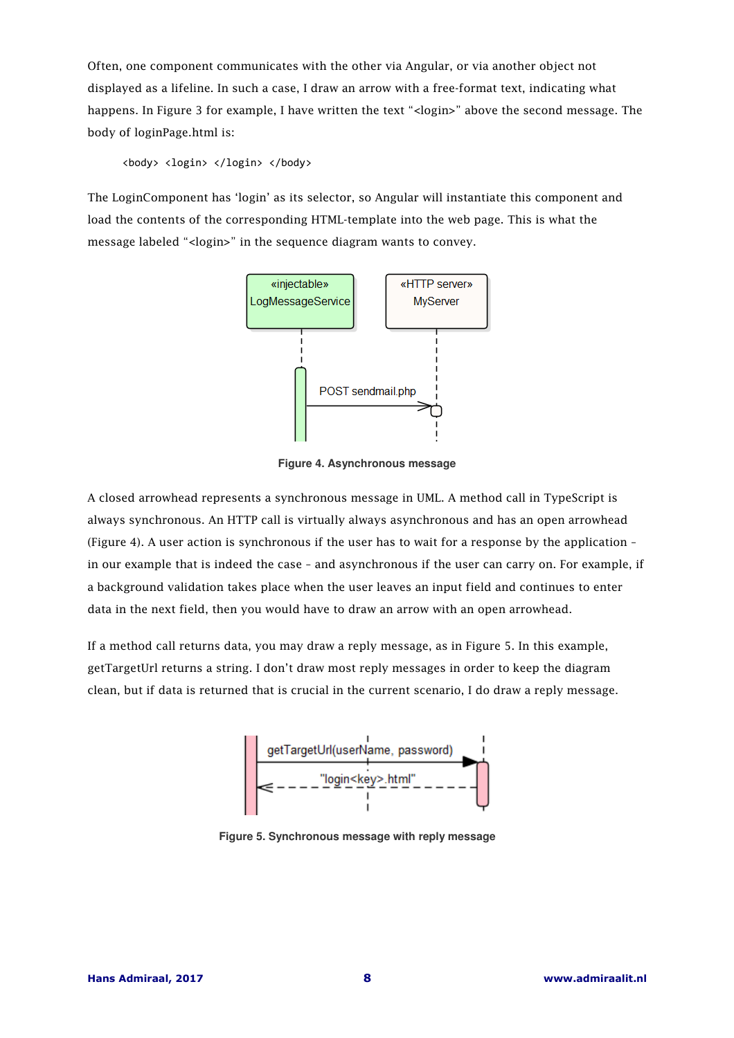Often, one component communicates with the other via Angular, or via another object not displayed as a lifeline. In such a case, I draw an arrow with a free-format text, indicating what happens. In Figure 3 for example, I have written the text "<login>" above the second message. The body of loginPage.html is:

<body> <login> </login> </body>

The LoginComponent has 'login' as its selector, so Angular will instantiate this component and load the contents of the corresponding HTML-template into the web page. This is what the message labeled "<login>" in the sequence diagram wants to convey.



**Figure 4. Asynchronous message**

A closed arrowhead represents a synchronous message in UML. A method call in TypeScript is always synchronous. An HTTP call is virtually always asynchronous and has an open arrowhead (Figure 4). A user action is synchronous if the user has to wait for a response by the application – in our example that is indeed the case – and asynchronous if the user can carry on. For example, if a background validation takes place when the user leaves an input field and continues to enter data in the next field, then you would have to draw an arrow with an open arrowhead.

If a method call returns data, you may draw a reply message, as in Figure 5. In this example, getTargetUrl returns a string. I don't draw most reply messages in order to keep the diagram clean, but if data is returned that is crucial in the current scenario, I do draw a reply message.



**Figure 5. Synchronous message with reply message**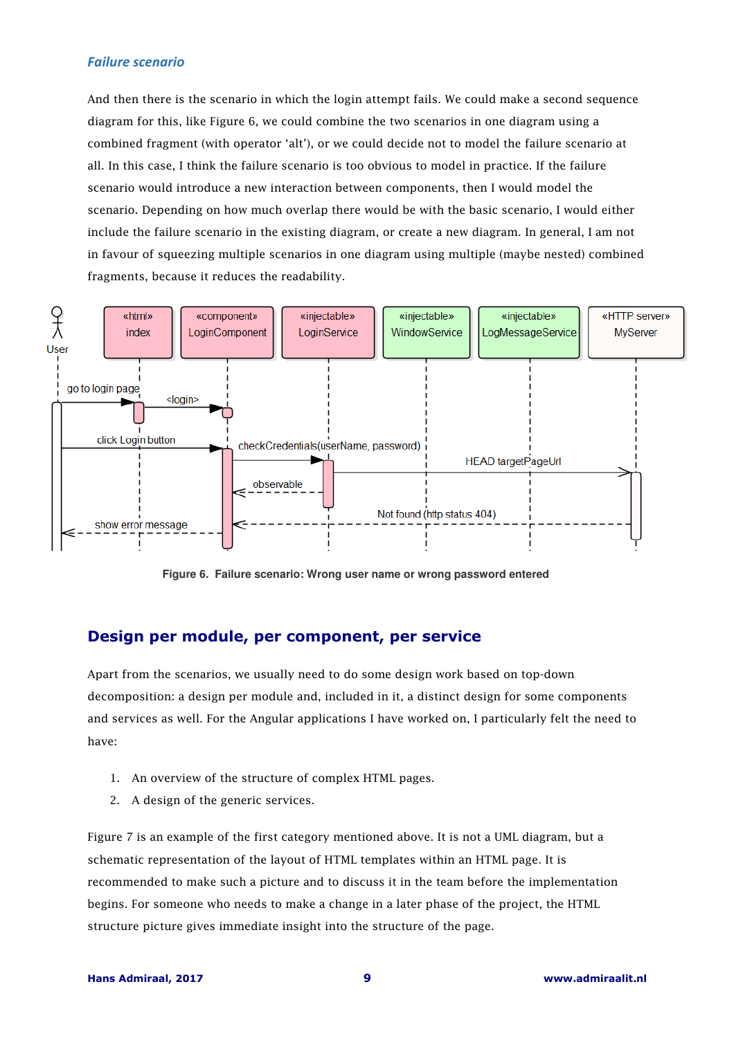#### *Failure scenario*

And then there is the scenario in which the login attempt fails. We could make a second sequence diagram for this, like Figure 6, we could combine the two scenarios in one diagram using a combined fragment (with operator 'alt'), or we could decide not to model the failure scenario at all. In this case, I think the failure scenario is too obvious to model in practice. If the failure scenario would introduce a new interaction between components, then I would model the scenario. Depending on how much overlap there would be with the basic scenario, I would either include the failure scenario in the existing diagram, or create a new diagram. In general, I am not in favour of squeezing multiple scenarios in one diagram using multiple (maybe nested) combined fragments, because it reduces the readability.



**Figure 6. Failure scenario: Wrong user name or wrong password entered**

## **Design per module, per component, per service**

Apart from the scenarios, we usually need to do some design work based on top-down decomposition: a design per module and, included in it, a distinct design for some components and services as well. For the Angular applications I have worked on, I particularly felt the need to have:

- 1. An overview of the structure of complex HTML pages.
- 2. A design of the generic services.

Figure 7 is an example of the first category mentioned above. It is not a UML diagram, but a schematic representation of the layout of HTML templates within an HTML page. It is recommended to make such a picture and to discuss it in the team before the implementation begins. For someone who needs to make a change in a later phase of the project, the HTML structure picture gives immediate insight into the structure of the page.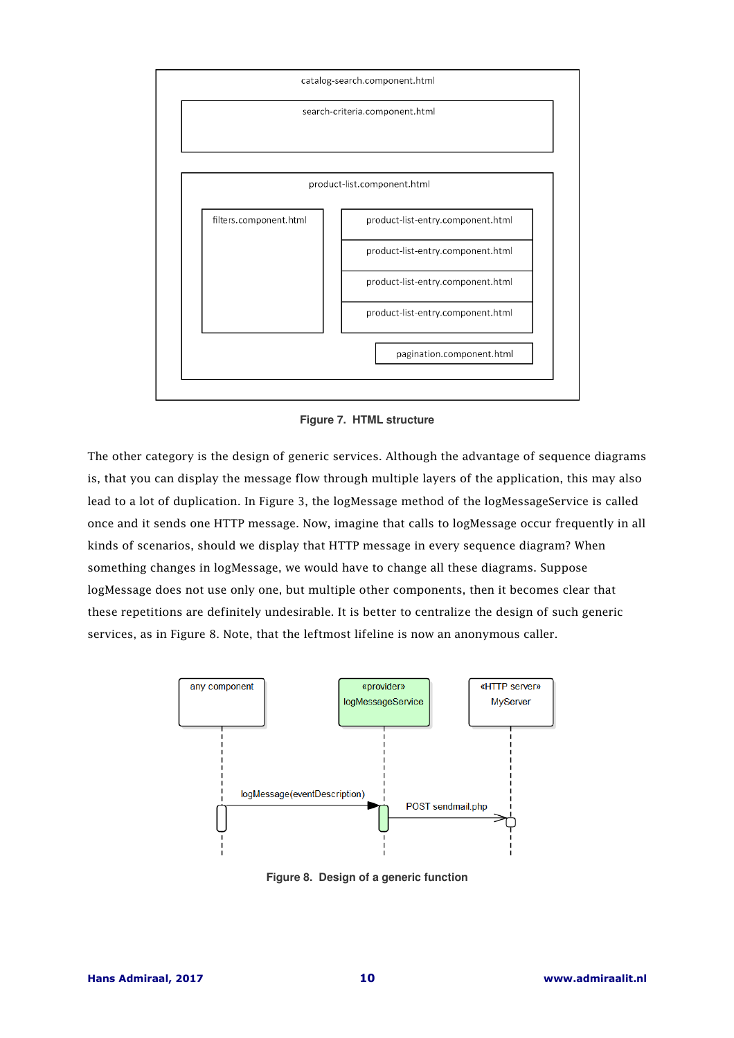

**Figure 7. HTML structure** 

The other category is the design of generic services. Although the advantage of sequence diagrams is, that you can display the message flow through multiple layers of the application, this may also lead to a lot of duplication. In Figure 3, the logMessage method of the logMessageService is called once and it sends one HTTP message. Now, imagine that calls to logMessage occur frequently in all kinds of scenarios, should we display that HTTP message in every sequence diagram? When something changes in logMessage, we would have to change all these diagrams. Suppose logMessage does not use only one, but multiple other components, then it becomes clear that these repetitions are definitely undesirable. It is better to centralize the design of such generic services, as in Figure 8. Note, that the leftmost lifeline is now an anonymous caller.



**Figure 8. Design of a generic function**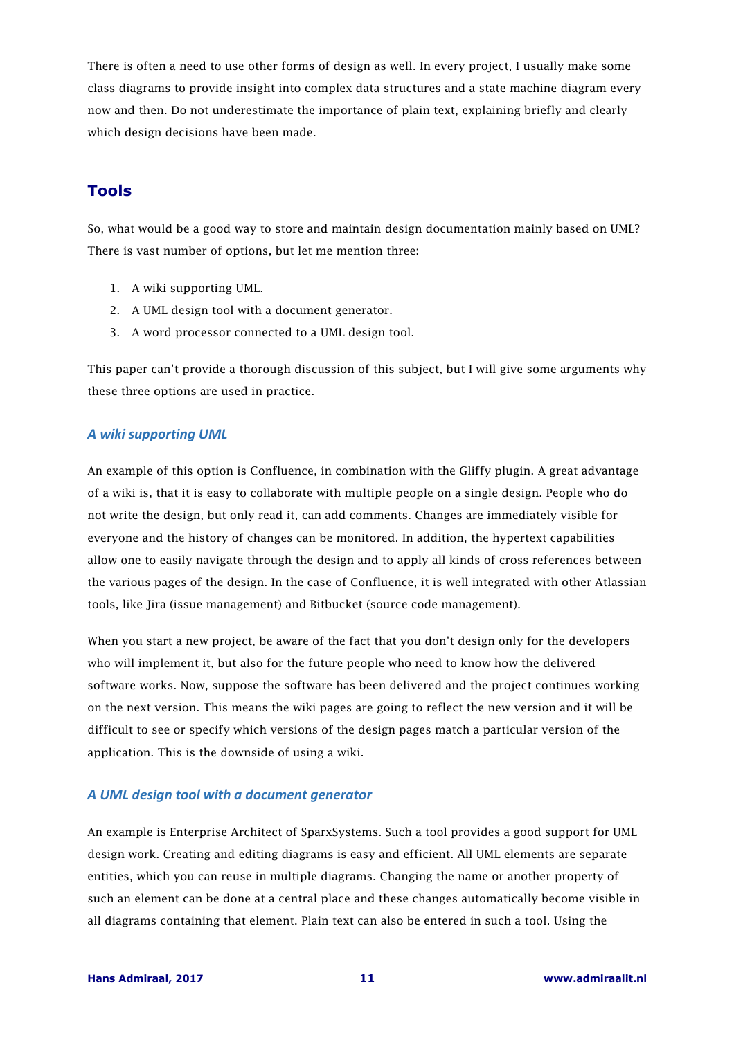There is often a need to use other forms of design as well. In every project, I usually make some class diagrams to provide insight into complex data structures and a state machine diagram every now and then. Do not underestimate the importance of plain text, explaining briefly and clearly which design decisions have been made.

## **Tools**

So, what would be a good way to store and maintain design documentation mainly based on UML? There is vast number of options, but let me mention three:

- 1. A wiki supporting UML.
- 2. A UML design tool with a document generator.
- 3. A word processor connected to a UML design tool.

This paper can't provide a thorough discussion of this subject, but I will give some arguments why these three options are used in practice.

#### *A wiki supporting UML*

An example of this option is Confluence, in combination with the Gliffy plugin. A great advantage of a wiki is, that it is easy to collaborate with multiple people on a single design. People who do not write the design, but only read it, can add comments. Changes are immediately visible for everyone and the history of changes can be monitored. In addition, the hypertext capabilities allow one to easily navigate through the design and to apply all kinds of cross references between the various pages of the design. In the case of Confluence, it is well integrated with other Atlassian tools, like Jira (issue management) and Bitbucket (source code management).

When you start a new project, be aware of the fact that you don't design only for the developers who will implement it, but also for the future people who need to know how the delivered software works. Now, suppose the software has been delivered and the project continues working on the next version. This means the wiki pages are going to reflect the new version and it will be difficult to see or specify which versions of the design pages match a particular version of the application. This is the downside of using a wiki.

#### *A UML design tool with a document generator*

An example is Enterprise Architect of SparxSystems. Such a tool provides a good support for UML design work. Creating and editing diagrams is easy and efficient. All UML elements are separate entities, which you can reuse in multiple diagrams. Changing the name or another property of such an element can be done at a central place and these changes automatically become visible in all diagrams containing that element. Plain text can also be entered in such a tool. Using the